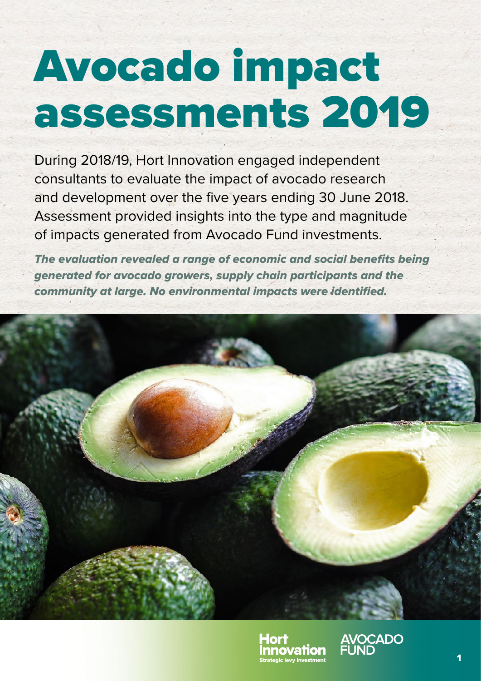# Avocado impact assessments 2019

During 2018/19, Hort Innovation engaged independent consultants to evaluate the impact of avocado research and development over the five years ending 30 June 2018. Assessment provided insights into the type and magnitude of impacts generated from Avocado Fund investments.

*The evaluation revealed a range of economic and social benefits being generated for avocado growers, supply chain participants and the community at large. No environmental impacts were identified.*





**AVOCADO<br>FUND**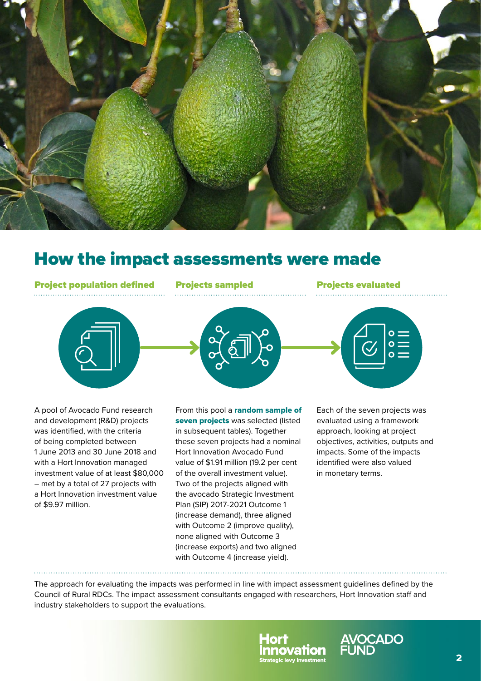

## How the impact assessments were made

Project population defined Projects sampled Projects evaluated





A pool of Avocado Fund research and development (R&D) projects was identified, with the criteria of being completed between 1 June 2013 and 30 June 2018 and with a Hort Innovation managed investment value of at least \$80,000 – met by a total of 27 projects with a Hort Innovation investment value of \$9.97 million.

From this pool a random sample of seven projects was selected (listed in subsequent tables). Together these seven projects had a nominal Hort Innovation Avocado Fund value of \$1.91 million (19.2 per cent of the overall investment value). Two of the projects aligned with the avocado Strategic Investment Plan (SIP) 2017‑2021 Outcome 1 (increase demand), three aligned with Outcome 2 (improve quality), none aligned with Outcome 3 (increase exports) and two aligned with Outcome 4 (increase yield).

Each of the seven projects was evaluated using a framework approach, looking at project objectives, activities, outputs and impacts. Some of the impacts identified were also valued in monetary terms.

The approach for evaluating the impacts was performed in line with impact assessment guidelines defined by the Council of Rural RDCs. The impact assessment consultants engaged with researchers, Hort Innovation staff and industry stakeholders to support the evaluations.



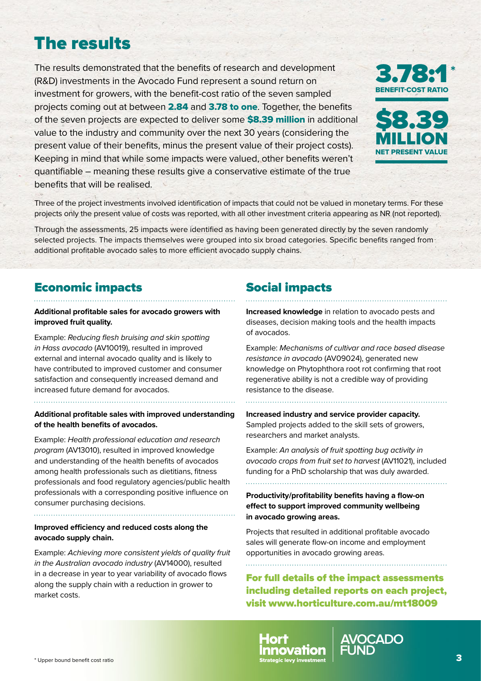# The results

The results demonstrated that the benefits of research and development (R&D) investments in the Avocado Fund represent a sound return on investment for growers, with the benefit-cost ratio of the seven sampled projects coming out at between 2.84 and 3.78 to one. Together, the benefits of the seven projects are expected to deliver some **\$8.39 million** in additional value to the industry and community over the next 30 years (considering the present value of their benefits, minus the present value of their project costs). Keeping in mind that while some impacts were valued, other benefits weren't quantifiable – meaning these results give a conservative estimate of the true benefits that will be realised.





Three of the project investments involved identification of impacts that could not be valued in monetary terms. For these projects only the present value of costs was reported, with all other investment criteria appearing as NR (not reported).

Through the assessments, 25 impacts were identified as having been generated directly by the seven randomly selected projects. The impacts themselves were grouped into six broad categories. Specific benefits ranged from additional profitable avocado sales to more efficient avocado supply chains.

### Economic impacts

#### **Additional profitable sales for avocado growers with improved fruit quality.**

Example: *Reducing flesh bruising and skin spotting in Hass avocado* (AV10019), resulted in improved external and internal avocado quality and is likely to have contributed to improved customer and consumer satisfaction and consequently increased demand and increased future demand for avocados.

#### **Additional profitable sales with improved understanding of the health benefits of avocados.**

Example: *Health professional education and research program* (AV13010), resulted in improved knowledge and understanding of the health benefits of avocados among health professionals such as dietitians, fitness professionals and food regulatory agencies/public health professionals with a corresponding positive influence on consumer purchasing decisions.

#### **Improved efficiency and reduced costs along the avocado supply chain.**

Example: *Achieving more consistent yields of quality fruit in the Australian avocado industry* (AV14000), resulted in a decrease in year to year variability of avocado flows along the supply chain with a reduction in grower to market costs.

## Social impacts

**Increased knowledge** in relation to avocado pests and diseases, decision making tools and the health impacts of avocados.

Example: *Mechanisms of cultivar and race based disease resistance in avocado* (AV09024), generated new knowledge on Phytophthora root rot confirming that root regenerative ability is not a credible way of providing resistance to the disease.

**Increased industry and service provider capacity.**  Sampled projects added to the skill sets of growers, researchers and market analysts.

Example: *An analysis of fruit spotting bug activity in avocado crops from fruit set to harvest* (AV11021), included funding for a PhD scholarship that was duly awarded.

**Productivity/profitability benefits having a flow-on effect to support improved community wellbeing in avocado growing areas.**

Projects that resulted in additional profitable avocado sales will generate flow-on income and employment opportunities in avocado growing areas.

For full details of the impact assessments including detailed reports on each project, visit [www.horticulture.com.au/mt18009](http://www.horticulture.com.au/mt18009)